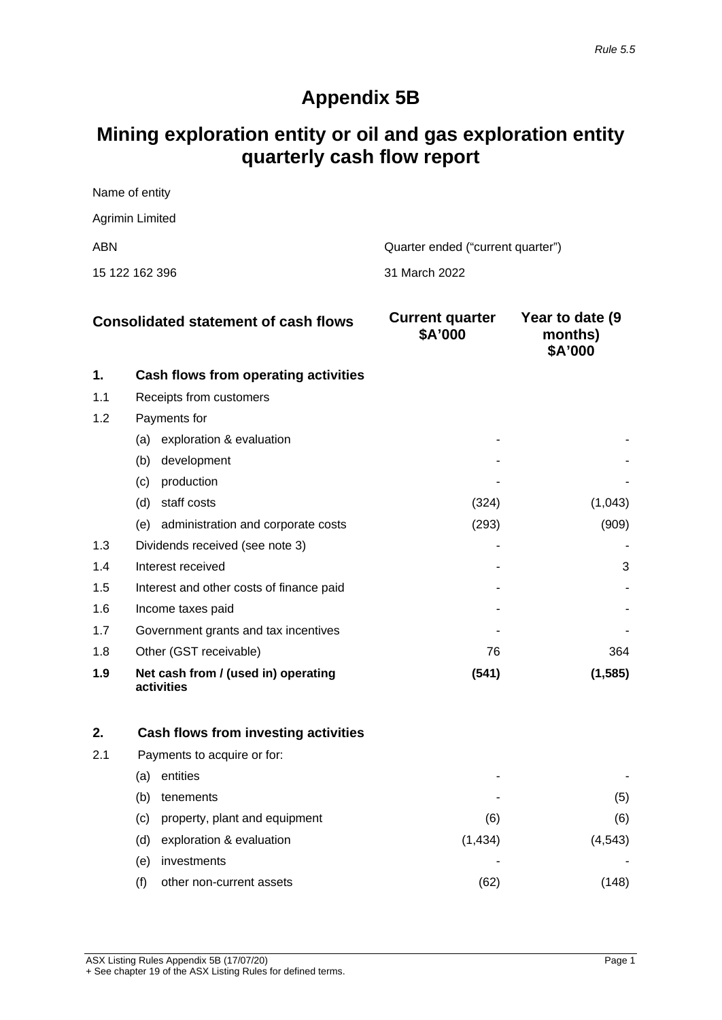## **Appendix 5B**

# **Mining exploration entity or oil and gas exploration entity quarterly cash flow report**

| Name of entity  |                                   |
|-----------------|-----------------------------------|
| Agrimin Limited |                                   |
| ABN             | Quarter ended ("current quarter") |
| 15 122 162 396  | ⊟ 31 March 2022                   |

| <b>Consolidated statement of cash flows</b> |                                                   | <b>Current quarter</b><br>\$A'000 | Year to date (9)<br>months)<br>\$A'000 |
|---------------------------------------------|---------------------------------------------------|-----------------------------------|----------------------------------------|
| 1.                                          | Cash flows from operating activities              |                                   |                                        |
| 1.1                                         | Receipts from customers                           |                                   |                                        |
| 1.2                                         | Payments for                                      |                                   |                                        |
|                                             | exploration & evaluation<br>(a)                   |                                   |                                        |
|                                             | development<br>(b)                                |                                   |                                        |
|                                             | production<br>(c)                                 |                                   |                                        |
|                                             | staff costs<br>(d)                                | (324)                             | (1,043)                                |
|                                             | (e) administration and corporate costs            | (293)                             | (909)                                  |
| 1.3                                         | Dividends received (see note 3)                   |                                   |                                        |
| 1.4                                         | Interest received                                 |                                   | 3                                      |
| 1.5                                         | Interest and other costs of finance paid          |                                   |                                        |
| 1.6                                         | Income taxes paid                                 |                                   |                                        |
| 1.7                                         | Government grants and tax incentives              |                                   |                                        |
| 1.8                                         | Other (GST receivable)                            | 76                                | 364                                    |
| 1.9                                         | Net cash from / (used in) operating<br>activities | (541)                             | (1, 585)                               |

| 2.  |     | Cash flows from investing activities |         |        |
|-----|-----|--------------------------------------|---------|--------|
| 2.1 |     | Payments to acquire or for:          |         |        |
|     | (a) | entities                             |         |        |
|     | (b) | tenements                            | -       | (5)    |
|     | (C) | property, plant and equipment        | (6)     | (6)    |
|     | (d) | exploration & evaluation             | (1,434) | (4.543 |
|     | (e) | investments                          |         |        |
|     |     | other non-current assets             | (62)    |        |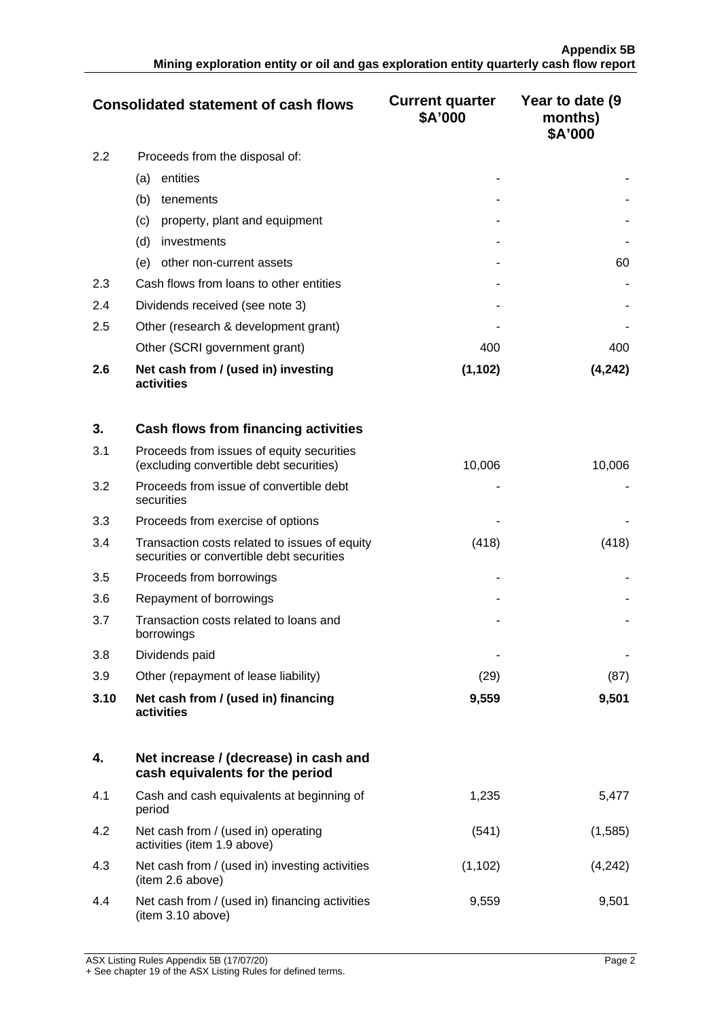| <b>Consolidated statement of cash flows</b> |                                                   | <b>Current quarter</b><br>\$A'000 | Year to date (9)<br>months)<br>\$A'000 |
|---------------------------------------------|---------------------------------------------------|-----------------------------------|----------------------------------------|
| 2.2<br>Proceeds from the disposal of:       |                                                   |                                   |                                        |
|                                             | entities<br>(a)                                   |                                   |                                        |
|                                             | (b)<br>tenements                                  |                                   |                                        |
|                                             | property, plant and equipment<br>(c)              |                                   |                                        |
|                                             | (d)<br>investments                                |                                   |                                        |
|                                             | other non-current assets<br>(e)                   |                                   | 60                                     |
| 2.3                                         | Cash flows from loans to other entities           |                                   |                                        |
| 2.4                                         | Dividends received (see note 3)                   |                                   |                                        |
| 2.5                                         | Other (research & development grant)              |                                   |                                        |
|                                             | Other (SCRI government grant)                     | 400                               | 400                                    |
| 2.6                                         | Net cash from / (used in) investing<br>activities | (1, 102)                          | (4,242)                                |

| 3.   | Cash flows from financing activities                                                       |        |        |
|------|--------------------------------------------------------------------------------------------|--------|--------|
| 3.1  | Proceeds from issues of equity securities<br>(excluding convertible debt securities)       | 10,006 | 10,006 |
| 3.2  | Proceeds from issue of convertible debt<br>securities                                      |        |        |
| 3.3  | Proceeds from exercise of options                                                          |        |        |
| 3.4  | Transaction costs related to issues of equity<br>securities or convertible debt securities | (418)  | (418)  |
| 3.5  | Proceeds from borrowings                                                                   |        |        |
| 3.6  | Repayment of borrowings                                                                    |        |        |
| 3.7  | Transaction costs related to loans and<br>borrowings                                       |        |        |
| 3.8  | Dividends paid                                                                             |        |        |
| 3.9  | Other (repayment of lease liability)                                                       | (29)   | (87)   |
| 3.10 | Net cash from / (used in) financing<br>activities                                          | 9,559  | 9,501  |

|     | Net increase / (decrease) in cash and<br>cash equivalents for the period |          |         |
|-----|--------------------------------------------------------------------------|----------|---------|
| 4.1 | Cash and cash equivalents at beginning of<br>period                      | 1.235    | 5.477   |
| 4.2 | Net cash from / (used in) operating<br>activities (item 1.9 above)       | (541)    | (1,585) |
| 4.3 | Net cash from / (used in) investing activities<br>(item 2.6 above)       | (1, 102) |         |
| 4.4 | Net cash from / (used in) financing activities<br>(item 3.10 above)      | 9,559    | 9.501   |

ASX Listing Rules Appendix 5B (17/07/20) Page 2 + See chapter 19 of the ASX Listing Rules for defined terms.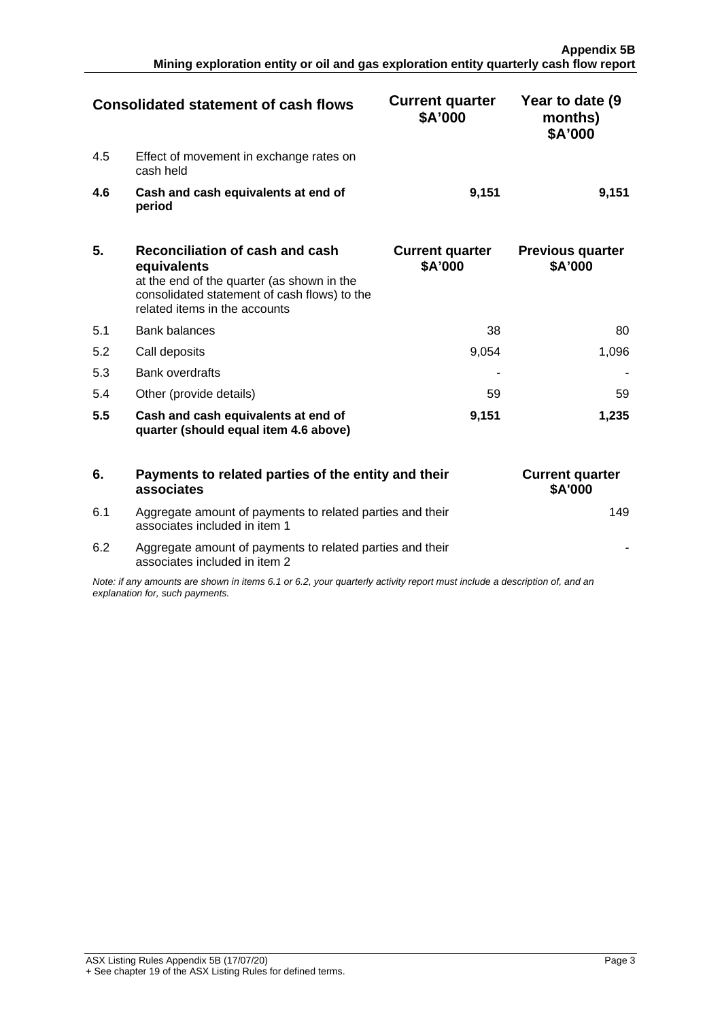| <b>Consolidated statement of cash flows</b> |                                                      | <b>Current quarter</b><br>\$A'000 | Year to date (9)<br>months)<br>\$A'000 |
|---------------------------------------------|------------------------------------------------------|-----------------------------------|----------------------------------------|
| 4.5                                         | Effect of movement in exchange rates on<br>cash held |                                   |                                        |
| 4.6                                         | Cash and cash equivalents at end of<br>period        | 9.151                             | 9.151                                  |

| 5.  | Reconciliation of cash and cash<br>equivalents<br>at the end of the quarter (as shown in the<br>consolidated statement of cash flows) to the<br>related items in the accounts | <b>Current quarter</b><br>\$A'000 | <b>Previous quarter</b><br>\$A'000 |
|-----|-------------------------------------------------------------------------------------------------------------------------------------------------------------------------------|-----------------------------------|------------------------------------|
| 5.1 | Bank balances                                                                                                                                                                 | 38                                | 80                                 |
| 5.2 | Call deposits                                                                                                                                                                 | 9.054                             | .096                               |
| 5.3 | <b>Bank overdrafts</b>                                                                                                                                                        |                                   |                                    |
| 5.4 | Other (provide details)                                                                                                                                                       | 59                                | 59                                 |
| 5.5 | Cash and cash equivalents at end of<br>quarter (should equal item 4.6 above)                                                                                                  | 9.151                             | 1,235                              |

|                                                                                                                                                             | Payments to related parties of the entity and their<br>associates                          | <b>Current quarter</b><br><b>\$A'000</b> |
|-------------------------------------------------------------------------------------------------------------------------------------------------------------|--------------------------------------------------------------------------------------------|------------------------------------------|
| 6.1                                                                                                                                                         | Aggregate amount of payments to related parties and their<br>associates included in item 1 |                                          |
| 6.2                                                                                                                                                         | Aggregate amount of payments to related parties and their<br>associates included in item 2 |                                          |
| Note: if any amounts are shown in items 6.1 or 6.2, your quarterly activity report must include a description of, and an<br>explanation for, such payments. |                                                                                            |                                          |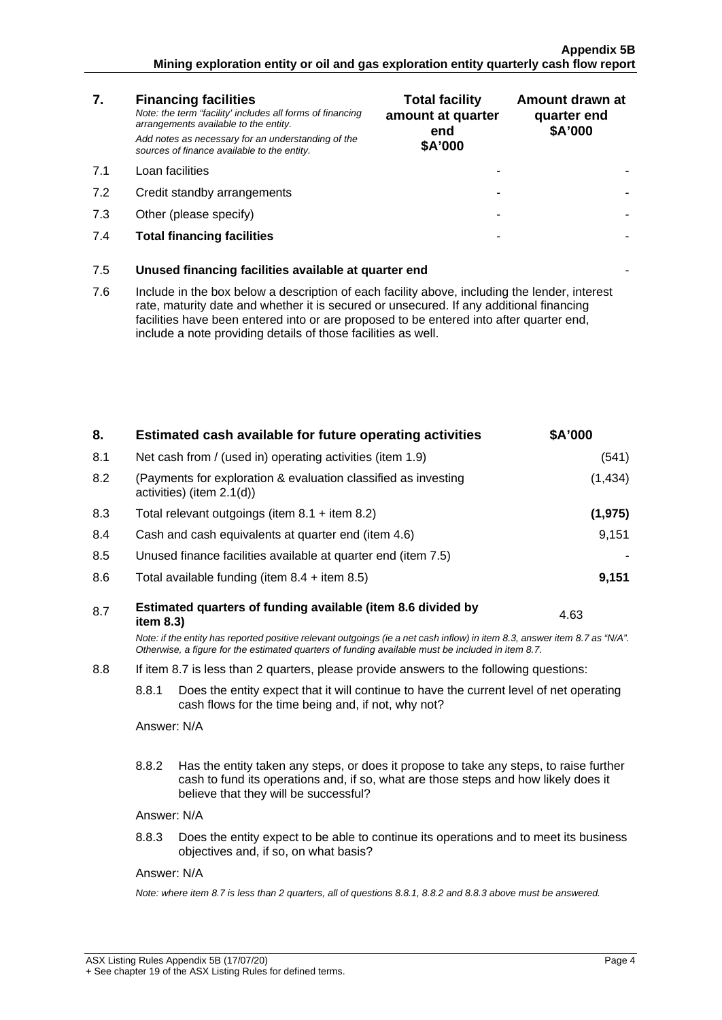#### **Appendix 5B Mining exploration entity or oil and gas exploration entity quarterly cash flow report**

| 7.  | <b>Financing facilities</b><br>Note: the term "facility' includes all forms of financing<br>arrangements available to the entity.<br>Add notes as necessary for an understanding of the<br>sources of finance available to the entity.                                                                                                               | <b>Total facility</b><br>amount at quarter<br>end<br>\$A'000 | Amount drawn at<br>quarter end<br>\$A'000 |
|-----|------------------------------------------------------------------------------------------------------------------------------------------------------------------------------------------------------------------------------------------------------------------------------------------------------------------------------------------------------|--------------------------------------------------------------|-------------------------------------------|
| 7.1 | Loan facilities                                                                                                                                                                                                                                                                                                                                      |                                                              |                                           |
| 7.2 | Credit standby arrangements                                                                                                                                                                                                                                                                                                                          |                                                              |                                           |
| 7.3 | Other (please specify)                                                                                                                                                                                                                                                                                                                               |                                                              |                                           |
| 7.4 | <b>Total financing facilities</b>                                                                                                                                                                                                                                                                                                                    |                                                              |                                           |
| 7.5 | Unused financing facilities available at quarter end                                                                                                                                                                                                                                                                                                 |                                                              |                                           |
| 7.6 | Include in the box below a description of each facility above, including the lender, interest<br>rate, maturity date and whether it is secured or unsecured. If any additional financing<br>facilities have been entered into or are proposed to be entered into after quarter end,<br>include a note providing details of those facilities as well. |                                                              |                                           |
|     |                                                                                                                                                                                                                                                                                                                                                      |                                                              |                                           |

| 8.  |                                                                                                                                                         | Estimated cash available for future operating activities                                                                                                                                                                        | \$A'000  |
|-----|---------------------------------------------------------------------------------------------------------------------------------------------------------|---------------------------------------------------------------------------------------------------------------------------------------------------------------------------------------------------------------------------------|----------|
| 8.1 | Net cash from / (used in) operating activities (item 1.9)                                                                                               |                                                                                                                                                                                                                                 | (541)    |
| 8.2 |                                                                                                                                                         | (Payments for exploration & evaluation classified as investing<br>activities) (item 2.1(d))                                                                                                                                     | (1, 434) |
| 8.3 |                                                                                                                                                         | Total relevant outgoings (item $8.1 +$ item $8.2$ )                                                                                                                                                                             | (1, 975) |
| 8.4 |                                                                                                                                                         | Cash and cash equivalents at quarter end (item 4.6)                                                                                                                                                                             | 9,151    |
| 8.5 |                                                                                                                                                         | Unused finance facilities available at quarter end (item 7.5)                                                                                                                                                                   |          |
| 8.6 |                                                                                                                                                         | Total available funding (item $8.4 +$ item $8.5$ )                                                                                                                                                                              | 9,151    |
| 8.7 | item 8.3)                                                                                                                                               | Estimated quarters of funding available (item 8.6 divided by                                                                                                                                                                    | 4.63     |
|     |                                                                                                                                                         | Note: if the entity has reported positive relevant outgoings (ie a net cash inflow) in item 8.3, answer item 8.7 as "N/A".<br>Otherwise, a figure for the estimated quarters of funding available must be included in item 8.7. |          |
| 8.8 |                                                                                                                                                         | If item 8.7 is less than 2 quarters, please provide answers to the following questions:                                                                                                                                         |          |
|     | 8.8.1<br>Does the entity expect that it will continue to have the current level of net operating<br>cash flows for the time being and, if not, why not? |                                                                                                                                                                                                                                 |          |
|     | Answer: N/A                                                                                                                                             |                                                                                                                                                                                                                                 |          |
|     | 8.8.2                                                                                                                                                   | Has the entity taken any steps, or does it propose to take any steps, to raise further                                                                                                                                          |          |
|     |                                                                                                                                                         | cash to fund its operations and, if so, what are those steps and how likely does it<br>believe that they will be successful?                                                                                                    |          |
|     | Answer: N/A                                                                                                                                             |                                                                                                                                                                                                                                 |          |
|     | 8.8.3                                                                                                                                                   | Does the entity expect to be able to continue its operations and to meet its business<br>objectives and, if so, on what basis?                                                                                                  |          |
|     | Answer: N/A                                                                                                                                             |                                                                                                                                                                                                                                 |          |
|     |                                                                                                                                                         | Note: where item 8.7 is less than 2 quarters, all of questions 8.8.1, 8.8.2 and 8.8.3 above must be answered.                                                                                                                   |          |